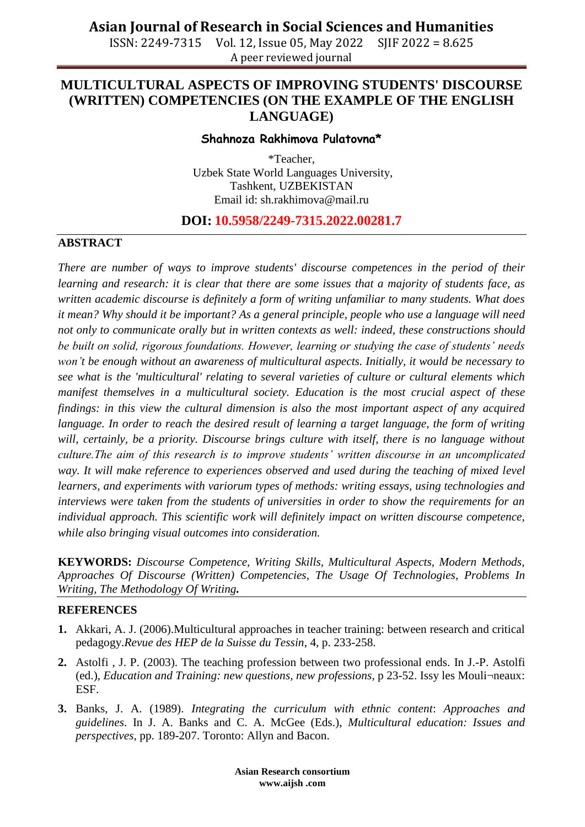ISSN: 2249-7315 Vol. 12, Issue 05, May 2022 SJIF 2022 = 8.625 A peer reviewed journal

## **MULTICULTURAL ASPECTS OF IMPROVING STUDENTS' DISCOURSE (WRITTEN) COMPETENCIES (ON THE EXAMPLE OF THE ENGLISH LANGUAGE)**

#### **Shahnoza Rakhimova Pulatovna\***

\*Teacher, Uzbek State World Languages University, Tashkent, UZBEKISTAN Email id: [sh.rakhimova@mail.ru](mailto:sh.rakhimova@mail.ru)

## **DOI: 10.5958/2249-7315.2022.00281.7**

### **ABSTRACT**

*There are number of ways to improve students' discourse competences in the period of their learning and research: it is clear that there are some issues that a majority of students face, as written academic discourse is definitely a form of writing unfamiliar to many students. What does it mean? Why should it be important? As a general principle, people who use a language will need not only to communicate orally but in written contexts as well: indeed, these constructions should be built on solid, rigorous foundations. However, learning or studying the case of students' needs won't be enough without an awareness of multicultural aspects. Initially, it would be necessary to see what is the 'multicultural' relating to several varieties of culture or cultural elements which manifest themselves in a multicultural society. Education is the most crucial aspect of these findings: in this view the cultural dimension is also the most important aspect of any acquired language. In order to reach the desired result of learning a target language, the form of writing* will, certainly, be a priority. Discourse brings culture with itself, there is no language without *culture.The aim of this research is to improve students' written discourse in an uncomplicated*  way. It will make reference to experiences observed and used during the teaching of mixed level *learners, and experiments with variorum types of methods: writing essays, using technologies and interviews were taken from the students of universities in order to show the requirements for an individual approach. This scientific work will definitely impact on written discourse competence, while also bringing visual outcomes into consideration.*

**KEYWORDS:** *Discourse Competence, Writing Skills, Multicultural Aspects, Modern Methods, Approaches Of Discourse (Written) Competencies, The Usage Of Technologies, Problems In Writing, The Methodology Of Writing.*

#### **REFERENCES**

- **1.** Akkari, A. J. (2006).Multicultural approaches in teacher training: between research and critical pedagogy.*Revue des HEP de la Suisse du Tessin*, 4, p. 233-258.
- **2.** Astolfi , J. P. (2003). The teaching profession between two professional ends. In J.-P. Astolfi (ed.), *Education and Training: new questions, new professions*, p 23-52. Issy les Mouli¬neaux: ESF.
- **3.** Banks, J. A. (1989). *Integrating the curriculum with ethnic content*: *Approaches and guidelines*. In J. A. Banks and C. A. McGee (Eds.), *Multicultural education: Issues and perspectives,* pp. 189-207. Toronto: Allyn and Bacon.